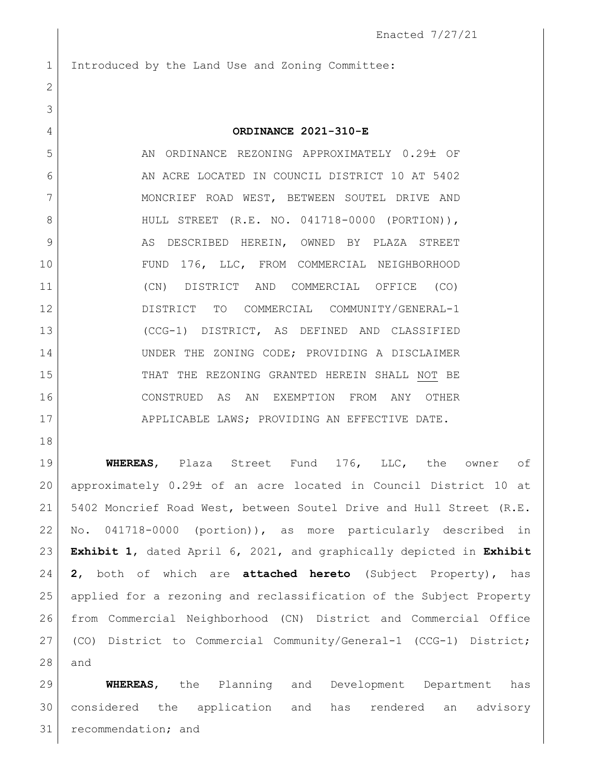1 Introduced by the Land Use and Zoning Committee:

## **ORDINANCE 2021-310-E**

5 AN ORDINANCE REZONING APPROXIMATELY 0.29± OF 6 AN ACRE LOCATED IN COUNCIL DISTRICT 10 AT 5402 7 | MONCRIEF ROAD WEST, BETWEEN SOUTEL DRIVE AND 8 | HULL STREET (R.E. NO. 041718-0000 (PORTION)), 9 AS DESCRIBED HEREIN, OWNED BY PLAZA STREET FUND 176, LLC, FROM COMMERCIAL NEIGHBORHOOD (CN) DISTRICT AND COMMERCIAL OFFICE (CO) DISTRICT TO COMMERCIAL COMMUNITY/GENERAL-1 (CCG-1) DISTRICT, AS DEFINED AND CLASSIFIED 14 UNDER THE ZONING CODE; PROVIDING A DISCLAIMER THAT THE REZONING GRANTED HEREIN SHALL NOT BE CONSTRUED AS AN EXEMPTION FROM ANY OTHER 17 APPLICABLE LAWS; PROVIDING AN EFFECTIVE DATE.

 **WHEREAS**, Plaza Street Fund 176, LLC, the owner of 20 | approximately 0.29± of an acre located in Council District 10 at 5402 Moncrief Road West, between Soutel Drive and Hull Street (R.E. No. 041718-0000 (portion)), as more particularly described in **Exhibit 1**, dated April 6, 2021, and graphically depicted in **Exhibit 2**, both of which are **attached hereto** (Subject Property), has applied for a rezoning and reclassification of the Subject Property from Commercial Neighborhood (CN) District and Commercial Office (CO) District to Commercial Community/General-1 (CCG-1) District; and

 **WHEREAS**, the Planning and Development Department has considered the application and has rendered an advisory 31 recommendation; and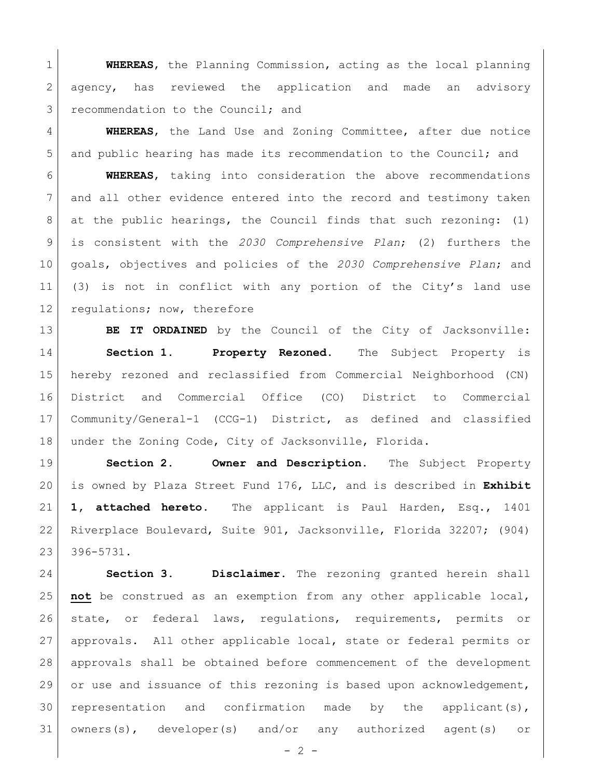**WHEREAS**, the Planning Commission, acting as the local planning 2 agency, has reviewed the application and made an advisory 3 recommendation to the Council; and

 **WHEREAS**, the Land Use and Zoning Committee, after due notice 5 and public hearing has made its recommendation to the Council; and

 **WHEREAS**, taking into consideration the above recommendations and all other evidence entered into the record and testimony taken at the public hearings, the Council finds that such rezoning: (1) is consistent with the *2030 Comprehensive Plan*; (2) furthers the goals, objectives and policies of the *2030 Comprehensive Plan*; and (3) is not in conflict with any portion of the City's land use 12 regulations; now, therefore

**BE IT ORDAINED** by the Council of the City of Jacksonville: **Section 1. Property Rezoned.** The Subject Property is hereby rezoned and reclassified from Commercial Neighborhood (CN) District and Commercial Office (CO) District to Commercial Community/General-1 (CCG-1) District, as defined and classified under the Zoning Code, City of Jacksonville, Florida.

 **Section 2. Owner and Description.** The Subject Property is owned by Plaza Street Fund 176, LLC, and is described in **Exhibit 1, attached hereto.** The applicant is Paul Harden, Esq., 1401 Riverplace Boulevard, Suite 901, Jacksonville, Florida 32207; (904) 396-5731.

 **Section 3. Disclaimer.** The rezoning granted herein shall **not** be construed as an exemption from any other applicable local, state, or federal laws, regulations, requirements, permits or approvals. All other applicable local, state or federal permits or approvals shall be obtained before commencement of the development or use and issuance of this rezoning is based upon acknowledgement, representation and confirmation made by the applicant(s), owners(s), developer(s) and/or any authorized agent(s) or

 $-2 -$